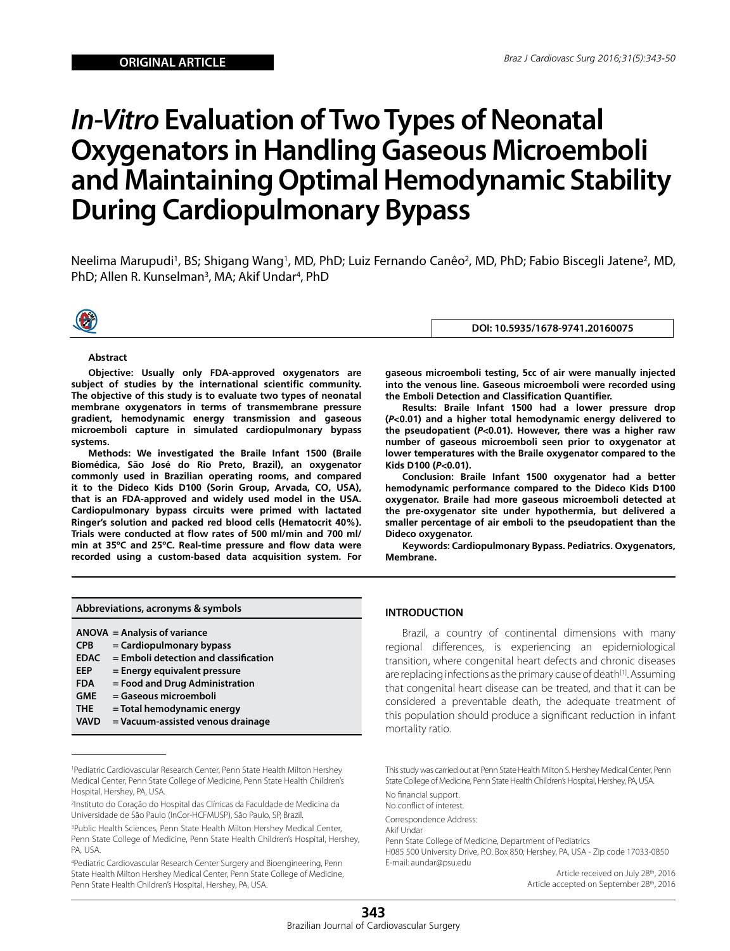# *In-Vitro* **Evaluation of Two Types of Neonatal Oxygenators in Handling Gaseous Microemboli and Maintaining Optimal Hemodynamic Stability During Cardiopulmonary Bypass**

Neelima Marupudi<sup>1</sup>, BS; Shigang Wang<sup>1</sup>, MD, PhD; Luiz Fernando Canêo<sup>2</sup>, MD, PhD; Fabio Biscegli Jatene<sup>2</sup>, MD, PhD; Allen R. Kunselman<sup>3</sup>, MA; Akif Undar<sup>4</sup>, PhD



**DOI: 10.5935/1678-9741.20160075**

**gaseous microemboli testing, 5cc of air were manually injected into the venous line. Gaseous microemboli were recorded using** 

**Results: Braile Infant 1500 had a lower pressure drop (***P***<0.01) and a higher total hemodynamic energy delivered to the pseudopatient (***P***<0.01). However, there was a higher raw number of gaseous microemboli seen prior to oxygenator at lower temperatures with the Braile oxygenator compared to the** 

**Conclusion: Braile Infant 1500 oxygenator had a better hemodynamic performance compared to the Dideco Kids D100 oxygenator. Braile had more gaseous microemboli detected at the pre-oxygenator site under hypothermia, but delivered a smaller percentage of air emboli to the pseudopatient than the** 

**Keywords: Cardiopulmonary Bypass. Pediatrics. Oxygenators,** 

**the Emboli Detection and Classification Quantifier.**

#### **Abstract**

**Objective: Usually only FDA-approved oxygenators are subject of studies by the international scientific community. The objective of this study is to evaluate two types of neonatal membrane oxygenators in terms of transmembrane pressure gradient, hemodynamic energy transmission and gaseous microemboli capture in simulated cardiopulmonary bypass systems.**

**Methods: We investigated the Braile Infant 1500 (Braile Biomédica, São José do Rio Preto, Brazil), an oxygenator commonly used in Brazilian operating rooms, and compared it to the Dideco Kids D100 (Sorin Group, Arvada, CO, USA), that is an FDA-approved and widely used model in the USA. Cardiopulmonary bypass circuits were primed with lactated Ringer's solution and packed red blood cells (Hematocrit 40%). Trials were conducted at flow rates of 500 ml/min and 700 ml/ min at 35ºC and 25ºC. Real-time pressure and flow data were recorded using a custom-based data acquisition system. For** 

**Abbreviations, acronyms & symbols**

- **ANOVA = Analysis of variance**
- **CPB = Cardiopulmonary bypass**
- **EDAC = Emboli detection and classification**
- **EEP = Energy equivalent pressure**
- **FDA = Food and Drug Administration**
- **GME = Gaseous microemboli**
- **THE = Total hemodynamic energy**
- **VAVD = Vacuum-assisted venous drainage**

4 Pediatric Cardiovascular Research Center Surgery and Bioengineering, Penn State Health Milton Hershey Medical Center, Penn State College of Medicine, Penn State Health Children's Hospital, Hershey, PA, USA.

**INTRODUCTION**

**Dideco oxygenator.** 

**Membrane.**

**Kids D100 (***P***<0.01).** 

Brazil, a country of continental dimensions with many regional differences, is experiencing an epidemiological transition, where congenital heart defects and chronic diseases are replacing infections as the primary cause of death<sup>[1]</sup>. Assuming that congenital heart disease can be treated, and that it can be considered a preventable death, the adequate treatment of this population should produce a significant reduction in infant mortality ratio.

This study was carried out at Penn State Health Milton S. Hershey Medical Center, Penn State College of Medicine, Penn State Health Children's Hospital, Hershey, PA, USA.

No financial support. No conflict of interest.

Correspondence Address:

Akif Undar

Penn State College of Medicine, Department of Pediatrics

H085 500 University Drive, P.O. Box 850; Hershey, PA, USA - Zip code 17033-0850 E-mail: aundar@psu.edu

> Article received on July 28th, 2016 Article accepted on September 28th, 2016

<sup>1</sup> Pediatric Cardiovascular Research Center, Penn State Health Milton Hershey Medical Center, Penn State College of Medicine, Penn State Health Children's Hospital, Hershey, PA, USA.

<sup>2</sup> Instituto do Coração do Hospital das Clínicas da Faculdade de Medicina da Universidade de São Paulo (InCor-HCFMUSP), São Paulo, SP, Brazil.

<sup>&</sup>lt;sup>3</sup>Public Health Sciences, Penn State Health Milton Hershey Medical Center, Penn State College of Medicine, Penn State Health Children's Hospital, Hershey, PA, USA.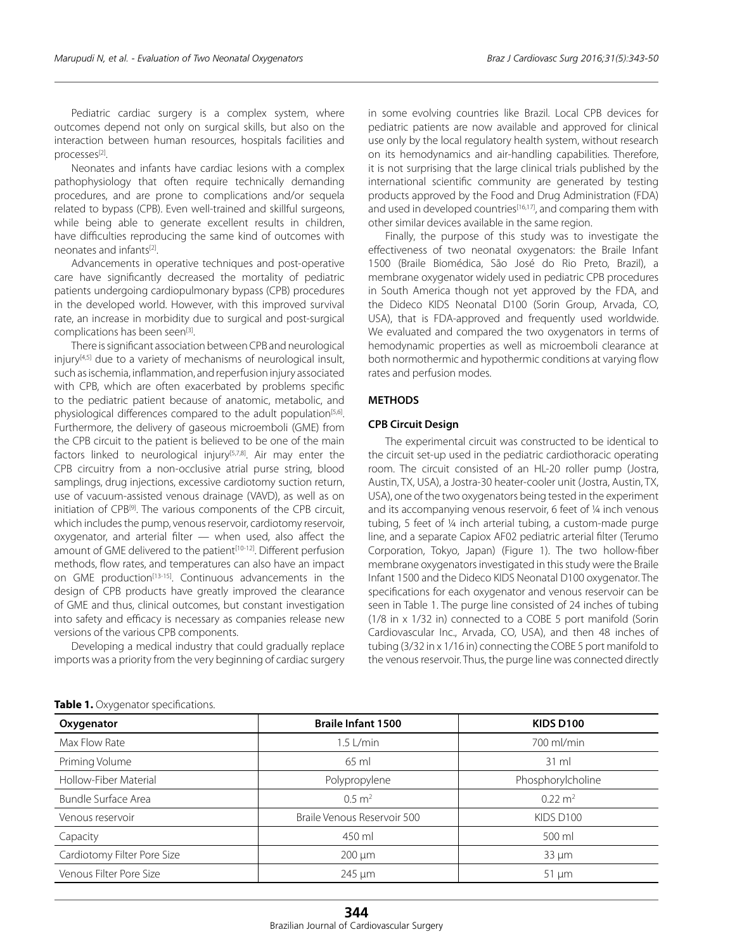Pediatric cardiac surgery is a complex system, where outcomes depend not only on surgical skills, but also on the interaction between human resources, hospitals facilities and processes[2].

Neonates and infants have cardiac lesions with a complex pathophysiology that often require technically demanding procedures, and are prone to complications and/or sequela related to bypass (CPB). Even well-trained and skillful surgeons, while being able to generate excellent results in children, have difficulties reproducing the same kind of outcomes with neonates and infants<sup>[2]</sup>.

Advancements in operative techniques and post-operative care have significantly decreased the mortality of pediatric patients undergoing cardiopulmonary bypass (CPB) procedures in the developed world. However, with this improved survival rate, an increase in morbidity due to surgical and post-surgical complications has been seen[3].

There is significant association between CPB and neurological injury<sup>[4,5]</sup> due to a variety of mechanisms of neurological insult, such as ischemia, inflammation, and reperfusion injury associated with CPB, which are often exacerbated by problems specific to the pediatric patient because of anatomic, metabolic, and physiological differences compared to the adult population $[5,6]$ . Furthermore, the delivery of gaseous microemboli (GME) from the CPB circuit to the patient is believed to be one of the main factors linked to neurological injury<sup>[5,7,8]</sup>. Air may enter the CPB circuitry from a non-occlusive atrial purse string, blood samplings, drug injections, excessive cardiotomy suction return, use of vacuum-assisted venous drainage (VAVD), as well as on initiation of CPB[9]. The various components of the CPB circuit, which includes the pump, venous reservoir, cardiotomy reservoir, oxygenator, and arterial filter — when used, also affect the amount of GME delivered to the patient<sup>[10-12]</sup>. Different perfusion methods, flow rates, and temperatures can also have an impact on GME production[13-15]. Continuous advancements in the design of CPB products have greatly improved the clearance of GME and thus, clinical outcomes, but constant investigation into safety and efficacy is necessary as companies release new versions of the various CPB components.

Developing a medical industry that could gradually replace imports was a priority from the very beginning of cardiac surgery in some evolving countries like Brazil. Local CPB devices for pediatric patients are now available and approved for clinical use only by the local regulatory health system, without research on its hemodynamics and air-handling capabilities. Therefore, it is not surprising that the large clinical trials published by the international scientific community are generated by testing products approved by the Food and Drug Administration (FDA) and used in developed countries<sup>[16,17]</sup>, and comparing them with other similar devices available in the same region.

Finally, the purpose of this study was to investigate the effectiveness of two neonatal oxygenators: the Braile Infant 1500 (Braile Biomédica, São José do Rio Preto, Brazil), a membrane oxygenator widely used in pediatric CPB procedures in South America though not yet approved by the FDA, and the Dideco KIDS Neonatal D100 (Sorin Group, Arvada, CO, USA), that is FDA-approved and frequently used worldwide. We evaluated and compared the two oxygenators in terms of hemodynamic properties as well as microemboli clearance at both normothermic and hypothermic conditions at varying flow rates and perfusion modes.

### **METHODS**

### **CPB Circuit Design**

The experimental circuit was constructed to be identical to the circuit set-up used in the pediatric cardiothoracic operating room. The circuit consisted of an HL-20 roller pump (Jostra, Austin, TX, USA), a Jostra-30 heater-cooler unit (Jostra, Austin, TX, USA), one of the two oxygenators being tested in the experiment and its accompanying venous reservoir, 6 feet of ¼ inch venous tubing, 5 feet of ¼ inch arterial tubing, a custom-made purge line, and a separate Capiox AF02 pediatric arterial filter (Terumo Corporation, Tokyo, Japan) (Figure 1). The two hollow-fiber membrane oxygenators investigated in this study were the Braile Infant 1500 and the Dideco KIDS Neonatal D100 oxygenator. The specifications for each oxygenator and venous reservoir can be seen in Table 1. The purge line consisted of 24 inches of tubing (1/8 in x 1/32 in) connected to a COBE 5 port manifold (Sorin Cardiovascular Inc., Arvada, CO, USA), and then 48 inches of tubing (3/32 in x 1/16 in) connecting the COBE 5 port manifold to the venous reservoir. Thus, the purge line was connected directly

| Oxygenator                  | <b>Braile Infant 1500</b>   | <b>KIDS D100</b>   |  |  |
|-----------------------------|-----------------------------|--------------------|--|--|
| Max Flow Rate               | $1.5$ L/min                 | 700 ml/min         |  |  |
| Priming Volume              | 65 ml                       | $31 \text{ ml}$    |  |  |
| Hollow-Fiber Material       | Polypropylene               | Phosphorylcholine  |  |  |
| Bundle Surface Area         | $0.5 \; \mathrm{m}^2$       | $0.22 \text{ m}^2$ |  |  |
| Venous reservoir            | Braile Venous Reservoir 500 | KIDS D100          |  |  |
| Capacity                    | 450 ml                      | 500 ml             |  |  |
| Cardiotomy Filter Pore Size | $200 \mu m$                 | $33 \mu m$         |  |  |
| Venous Filter Pore Size     | 245 µm                      | $51 \mu m$         |  |  |

**Table 1.** Oxygenator specifications.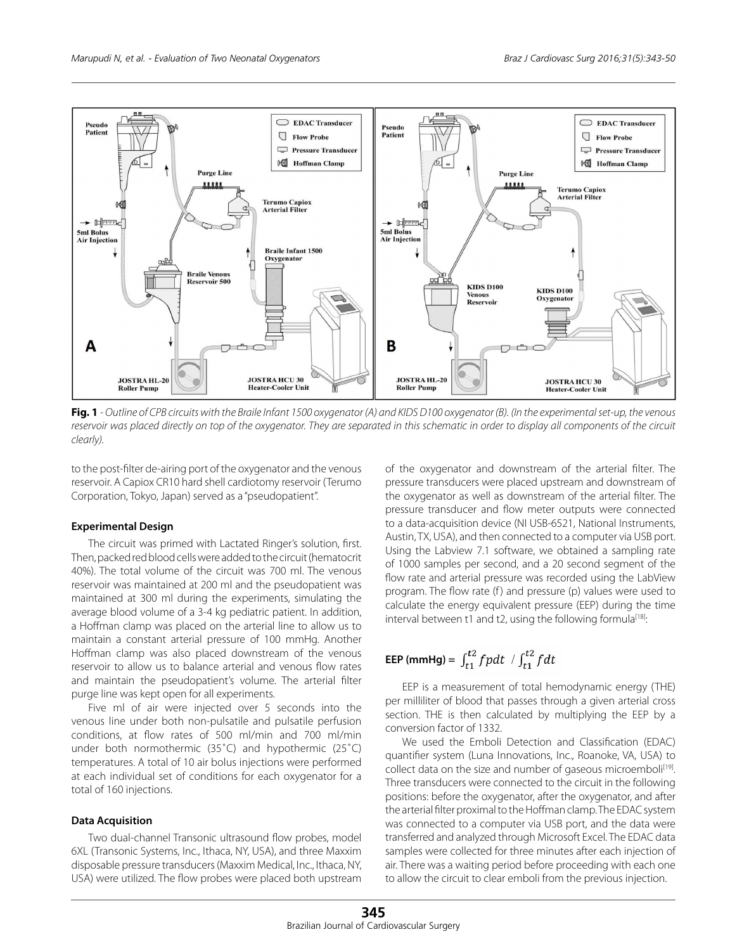

**Fig. 1** *- Outline of CPB circuits with the Braile Infant 1500 oxygenator (A) and KIDS D100 oxygenator (B). (In the experimental set-up, the venous*  reservoir was placed directly on top of the oxygenator. They are separated in this schematic in order to display all components of the circuit *clearly).*

to the post-filter de-airing port of the oxygenator and the venous reservoir. A Capiox CR10 hard shell cardiotomy reservoir (Terumo Corporation, Tokyo, Japan) served as a "pseudopatient".

## **Experimental Design**

The circuit was primed with Lactated Ringer's solution, first. Then, packed red blood cells were added to the circuit (hematocrit 40%). The total volume of the circuit was 700 ml. The venous reservoir was maintained at 200 ml and the pseudopatient was maintained at 300 ml during the experiments, simulating the average blood volume of a 3-4 kg pediatric patient. In addition, a Hoffman clamp was placed on the arterial line to allow us to maintain a constant arterial pressure of 100 mmHg. Another Hoffman clamp was also placed downstream of the venous reservoir to allow us to balance arterial and venous flow rates and maintain the pseudopatient's volume. The arterial filter purge line was kept open for all experiments.

Five ml of air were injected over 5 seconds into the venous line under both non-pulsatile and pulsatile perfusion conditions, at flow rates of 500 ml/min and 700 ml/min under both normothermic (35˚C) and hypothermic (25˚C) temperatures. A total of 10 air bolus injections were performed at each individual set of conditions for each oxygenator for a total of 160 injections.

## **Data Acquisition**

Two dual-channel Transonic ultrasound flow probes, model 6XL (Transonic Systems, Inc., Ithaca, NY, USA), and three Maxxim disposable pressure transducers (Maxxim Medical, Inc., Ithaca, NY, USA) were utilized. The flow probes were placed both upstream

of the oxygenator and downstream of the arterial filter. The pressure transducers were placed upstream and downstream of the oxygenator as well as downstream of the arterial filter. The pressure transducer and flow meter outputs were connected to a data-acquisition device (NI USB-6521, National Instruments, Austin, TX, USA), and then connected to a computer via USB port. Using the Labview 7.1 software, we obtained a sampling rate of 1000 samples per second, and a 20 second segment of the flow rate and arterial pressure was recorded using the LabView program. The flow rate (f) and pressure (p) values were used to calculate the energy equivalent pressure (EEP) during the time interval between t1 and t2, using the following formula<sup>[18]</sup>:

## **EEP (mmHg)** =  $\int_{t1}^{t2} f p dt$  /  $\int_{t1}^{t2} f dt$

EEP is a measurement of total hemodynamic energy (THE) per milliliter of blood that passes through a given arterial cross section. THE is then calculated by multiplying the EEP by a conversion factor of 1332.

We used the Emboli Detection and Classification (EDAC) quantifier system (Luna Innovations, Inc., Roanoke, VA, USA) to collect data on the size and number of gaseous microemboli<sup>[19]</sup>. Three transducers were connected to the circuit in the following positions: before the oxygenator, after the oxygenator, and after the arterial filter proximal to the Hoffman clamp. The EDAC system was connected to a computer via USB port, and the data were transferred and analyzed through Microsoft Excel. The EDAC data samples were collected for three minutes after each injection of air. There was a waiting period before proceeding with each one to allow the circuit to clear emboli from the previous injection.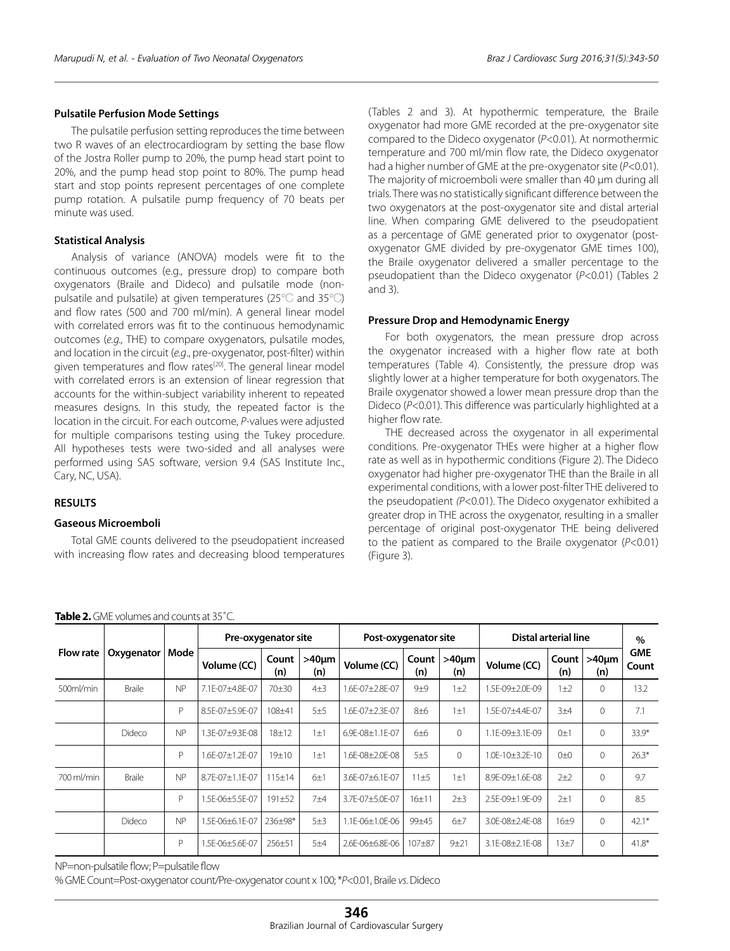## **Pulsatile Perfusion Mode Settings**

The pulsatile perfusion setting reproduces the time between two R waves of an electrocardiogram by setting the base flow of the Jostra Roller pump to 20%, the pump head start point to 20%, and the pump head stop point to 80%. The pump head start and stop points represent percentages of one complete pump rotation. A pulsatile pump frequency of 70 beats per minute was used.

## **Statistical Analysis**

Analysis of variance (ANOVA) models were fit to the continuous outcomes (e.g., pressure drop) to compare both oxygenators (Braile and Dideco) and pulsatile mode (nonpulsatile and pulsatile) at given temperatures (25℃ and 35℃) and flow rates (500 and 700 ml/min). A general linear model with correlated errors was fit to the continuous hemodynamic outcomes (*e.g.,* THE) to compare oxygenators, pulsatile modes, and location in the circuit (*e.g*., pre-oxygenator, post-filter) within given temperatures and flow rates<sup>[20]</sup>. The general linear model with correlated errors is an extension of linear regression that accounts for the within-subject variability inherent to repeated measures designs. In this study, the repeated factor is the location in the circuit. For each outcome, *P*-values were adjusted for multiple comparisons testing using the Tukey procedure. All hypotheses tests were two-sided and all analyses were performed using SAS software, version 9.4 (SAS Institute Inc., Cary, NC, USA).

## **RESULTS**

## **Gaseous Microemboli**

Total GME counts delivered to the pseudopatient increased with increasing flow rates and decreasing blood temperatures (Tables 2 and 3). At hypothermic temperature, the Braile oxygenator had more GME recorded at the pre-oxygenator site compared to the Dideco oxygenator (*P*<0.01). At normothermic temperature and 700 ml/min flow rate, the Dideco oxygenator had a higher number of GME at the pre-oxygenator site (*P*<0.01). The majority of microemboli were smaller than 40 µm during all trials. There was no statistically significant difference between the two oxygenators at the post-oxygenator site and distal arterial line. When comparing GME delivered to the pseudopatient as a percentage of GME generated prior to oxygenator (postoxygenator GME divided by pre-oxygenator GME times 100), the Braile oxygenator delivered a smaller percentage to the pseudopatient than the Dideco oxygenator (*P*<0.01) (Tables 2 and 3).

## **Pressure Drop and Hemodynamic Energy**

For both oxygenators, the mean pressure drop across the oxygenator increased with a higher flow rate at both temperatures (Table 4). Consistently, the pressure drop was slightly lower at a higher temperature for both oxygenators. The Braile oxygenator showed a lower mean pressure drop than the Dideco (*P*<0.01). This difference was particularly highlighted at a higher flow rate.

THE decreased across the oxygenator in all experimental conditions. Pre-oxygenator THEs were higher at a higher flow rate as well as in hypothermic conditions (Figure 2). The Dideco oxygenator had higher pre-oxygenator THE than the Braile in all experimental conditions, with a lower post-filter THE delivered to the pseudopatient *(P*<0.01). The Dideco oxygenator exhibited a greater drop in THE across the oxygenator, resulting in a smaller percentage of original post-oxygenator THE being delivered to the patient as compared to the Braile oxygenator (*P*<0.01) (Figure 3).

|                  | Oxygenator    | Mode      | Pre-oxygenator site     |              |                    | Post-oxygenator site |              | Distal arterial line |                           |                | $\%$               |                     |
|------------------|---------------|-----------|-------------------------|--------------|--------------------|----------------------|--------------|----------------------|---------------------------|----------------|--------------------|---------------------|
| <b>Flow rate</b> |               |           | Volume (CC)             | Count<br>(n) | $>40 \mu m$<br>(n) | Volume (CC)          | Count<br>(n) | $>40 \mu m$<br>(n)   | Volume (CC)               | Count  <br>(n) | $>40 \mu m$<br>(n) | <b>GME</b><br>Count |
| 500ml/min        | <b>Braile</b> | <b>NP</b> | 7.1E-07±4.8E-07         | $70 + 30$    | $4\pm3$            | 1.6E-07±2.8E-07      | $9+9$        | $1\pm2$              | 1.5E-09±2.0E-09           | $1\pm 2$       | $\mathbf{0}$       | 13.2                |
|                  |               | P         | 8.5E-07±5.9E-07         | 108±41       | 5±5                | 1.6E-07±2.3E-07      | $8\pm 6$     | $1\pm1$              | 1.5E-07±4.4E-07           | 3±4            | $\mathbf 0$        | 7.1                 |
|                  | Dideco        | <b>NP</b> | 3F-07+9.3F-08           | $18 + 12$    | $1\pm1$            | 6.9E-08±1.1E-07      | 6±6          | $\Omega$             | 1.1E-09±3.1E-09           | $() + 1$       | $\Omega$           | $33.9*$             |
|                  |               | P         | .6E-07±1.2E-07          | 19±10        | $1\pm1$            | 1.6E-08±2.0E-08      | $5+5$        | 0                    | $1.0E - 10 \pm 3.2E - 10$ | $() + ()$      | $\mathbf{0}$       | $26.3*$             |
| 700 ml/min       | <b>Braile</b> | NP        | $8.7F - 07 + 1.1F - 07$ | $115 \pm 14$ | 6±1                | 3.6E-07±6.1E-07      | 11±5         | $1\pm1$              | 8.9E-09±1.6E-08           | $2+2$          | $\Omega$           | 9.7                 |
|                  |               | P         | .5E-06±5.5E-07          | $191 + 52$   | 7 <sub>±4</sub>    | 3.7E-07±5.0E-07      | $16+11$      | $2+3$                | 2.5E-09±1.9E-09           | $2\pm1$        | $\Omega$           | 8.5                 |
|                  | Dideco        | NP        | .5E-06±6.1E-07          | 236±98*      | 5±3                | 1.1E-06±1.0E-06      | 99±45        | $6+7$                | 3.0E-08±2.4E-08           | $16 + 9$       | $\Omega$           | $42.1*$             |
|                  |               | P         | .5E-06±5.6E-07          | $256 \pm 51$ | 5±4                | 2.6E-06±6.8E-06      | $107 + 87$   | $9 + 21$             | 3.1E-08±2.1E-08           | 13±7           | $\Omega$           | $41.8*$             |

**Table 2.** GME volumes and counts at 35˚C.

NP=non-pulsatile flow; P=pulsatile flow

% GME Count=Post-oxygenator count/Pre-oxygenator count x 100; \**P*<0.01, Braile *vs*. Dideco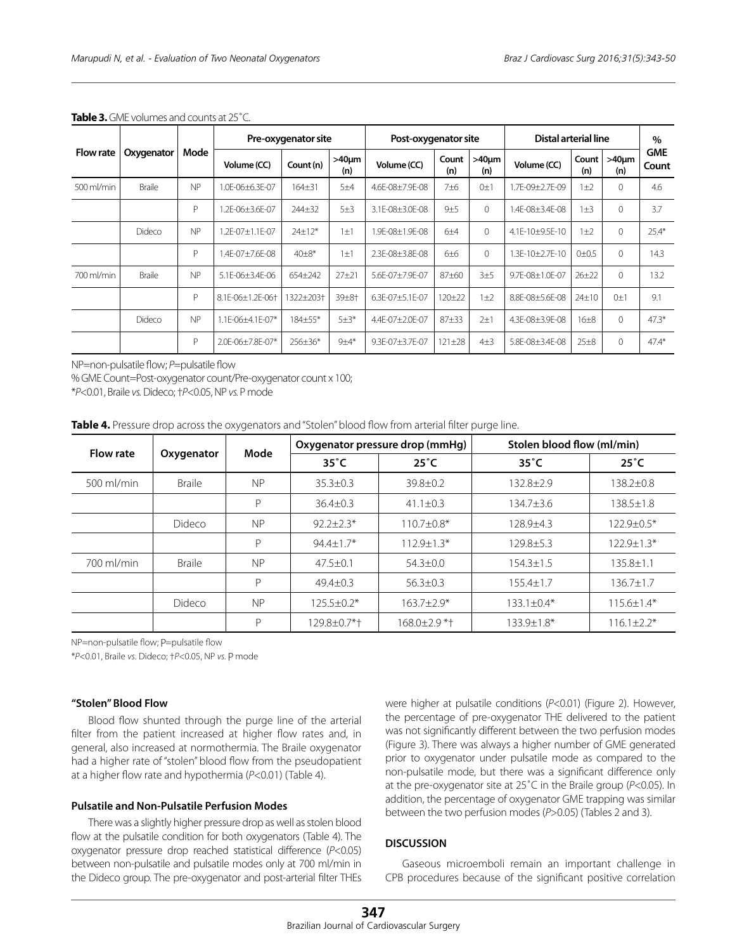|                  | Oxygenator    | Mode | Pre-oxygenator site |              |                    | Post-oxygenator site |                 |                    | Distal arterial line |              |                    | $\%$                |
|------------------|---------------|------|---------------------|--------------|--------------------|----------------------|-----------------|--------------------|----------------------|--------------|--------------------|---------------------|
| <b>Flow rate</b> |               |      | Volume (CC)         | Count (n)    | $>40 \mu m$<br>(n) | Volume (CC)          | Count<br>(n)    | $>40 \mu m$<br>(n) | Volume (CC)          | Count<br>(n) | $>40 \mu m$<br>(n) | <b>GME</b><br>Count |
| 500 ml/min       | <b>Braile</b> | NP   | 1.0E-06±6.3E-07     | $164 + 31$   | 5±4                | 4.6E-08±7.9E-08      | 7 <sub>±6</sub> | $0\pm1$            | 1.7E-09±2.7E-09      | $1\pm2$      | $\Omega$           | 4.6                 |
|                  |               | P    | .2E-06±3.6E-07      | 244±32       | 5±3                | 3.1E-08±3.0E-08      | $9+5$           | $\Omega$           | 1.4F-08+3.4F-08      | $1\pm3$      | $\Omega$           | 3.7                 |
|                  | Dideco        | NP   | .2E-07±1.1E-07      | $24 \pm 12*$ | $1\pm1$            | 1.9E-08±1.9E-08      | $6+4$           | $\Omega$           | 4.1E-10±9.5E-10      | $1\pm2$      | $\Omega$           | $25.4*$             |
|                  |               | P    | $4F-07+7.6F-08$     | $40\pm8*$    | $1 + 1$            | 2.3F-08+3.8F-08      | $6+6$           | $\Omega$           | $1.3F-10+2.7F-10$    | $0+0.5$      | $\Omega$           | 14.3                |
| 700 ml/min       | <b>Braile</b> | NP   | 5.1E-06±3.4E-06     | 654±242      | $27 + 21$          | 5.6E-07±7.9E-07      | $87 + 60$       | 3±5                | 9.7E-08±1.0E-07      | $26 + 22$    | 0                  | 13.2                |
|                  |               | P    | 8.1E-06±1.2E-06+    | 1322±203†    | 39±8†              | 6.3E-07±5.1E-07      | $120 + 22$      | $1\pm2$            | 8.8E-08±5.6E-08      | $24 \pm 10$  | 0±1                | 9.1                 |
|                  | Dideco        | NP   | 1.1E-06±4.1E-07*    | 184±55*      | $5 + 3*$           | 4.4E-07±2.0E-07      | $87 + 33$       | $2+1$              | 4.3E-08±3.9E-08      | $16\pm8$     | 0                  | $47.3*$             |
|                  |               | P    | 2.0E-06±7.8E-07*    | 256±36*      | $9±4*$             | 9.3E-07±3.7E-07      | $121 \pm 28$    | $4\pm3$            | 5.8E-08±3.4E-08      | $25\pm8$     | 0                  | $47.4*$             |

#### **Table 3.** GMF volumes and counts at 25°C.

NP=non-pulsatile flow; *P*=pulsatile flow

% GME Count=Post-oxygenator count/Pre-oxygenator count x 100;

\**P*<0.01, Braile *vs.* Dideco; †*P*<0.05, NP *vs.* P mode

|  | Table 4. Pressure drop across the oxygenators and "Stolen" blood flow from arterial filter purge line. |  |  |  |  |
|--|--------------------------------------------------------------------------------------------------------|--|--|--|--|
|--|--------------------------------------------------------------------------------------------------------|--|--|--|--|

| <b>Flow rate</b> |                            | Mode      |                  | Oxygenator pressure drop (mmHg) | Stolen blood flow (ml/min) |                  |  |
|------------------|----------------------------|-----------|------------------|---------------------------------|----------------------------|------------------|--|
|                  | Oxygenator                 |           | $35^{\circ}$ C   | $25^{\circ}$ C                  | $35^{\circ}$ C             | $25^{\circ}$ C   |  |
| $500$ ml/min     | <b>NP</b><br><b>Braile</b> |           | $35.3 \pm 0.3$   | $39.8 \pm 0.2$                  | $132.8 + 2.9$              | $138.2 \pm 0.8$  |  |
|                  |                            | P         | $36.4 + 0.3$     | $41.1 \pm 0.3$                  | 134.7+3.6                  | $138.5 \pm 1.8$  |  |
|                  | Dideco                     | <b>NP</b> | $92.2 + 2.3*$    | $110.7 \pm 0.8*$                | $128.9 + 4.3$              | $122.9 \pm 0.5*$ |  |
|                  |                            | Р         | $94.4 + 1.7*$    | $112.9 + 1.3*$                  | $129.8 + 5.3$              | $122.9 + 1.3*$   |  |
| 700 ml/min       | <b>Braile</b>              | <b>NP</b> | $47.5 \pm 0.1$   | $54.3 \pm 0.0$                  | $154.3 \pm 1.5$            | $135.8 \pm 1.1$  |  |
|                  |                            | р         | $49.4 + 0.3$     | $56.3 \pm 0.3$                  | $155.4 + 1.7$              | $136.7 \pm 1.7$  |  |
|                  | Dideco                     | <b>NP</b> | $125.5 \pm 0.2*$ | $163.7 + 2.9*$                  | $133.1 \pm 0.4*$           | $115.6 \pm 1.4*$ |  |
|                  |                            | D         | 129.8±0.7*+      | 168.0±2.9 *†                    | 133.9±1.8*                 | $116.1 \pm 2.2*$ |  |

NP=non-pulsatile flow; P=pulsatile flow

\**P*<0.01, Braile *vs*. Dideco; †*P*<0.05, NP *vs.* P mode

## **"Stolen" Blood Flow**

Blood flow shunted through the purge line of the arterial filter from the patient increased at higher flow rates and, in general, also increased at normothermia. The Braile oxygenator had a higher rate of "stolen" blood flow from the pseudopatient at a higher flow rate and hypothermia (*P*<0.01) (Table 4).

### **Pulsatile and Non-Pulsatile Perfusion Modes**

There was a slightly higher pressure drop as well as stolen blood flow at the pulsatile condition for both oxygenators (Table 4). The oxygenator pressure drop reached statistical difference (*P*<0.05) between non-pulsatile and pulsatile modes only at 700 ml/min in the Dideco group. The pre-oxygenator and post-arterial filter THEs were higher at pulsatile conditions (*P*<0.01) (Figure 2). However, the percentage of pre-oxygenator THE delivered to the patient was not significantly different between the two perfusion modes (Figure 3). There was always a higher number of GME generated prior to oxygenator under pulsatile mode as compared to the non-pulsatile mode, but there was a significant difference only at the pre-oxygenator site at 25˚C in the Braile group (*P*<0.05). In addition, the percentage of oxygenator GME trapping was similar between the two perfusion modes (*P*>0.05) (Tables 2 and 3).

## **DISCUSSION**

Gaseous microemboli remain an important challenge in CPB procedures because of the significant positive correlation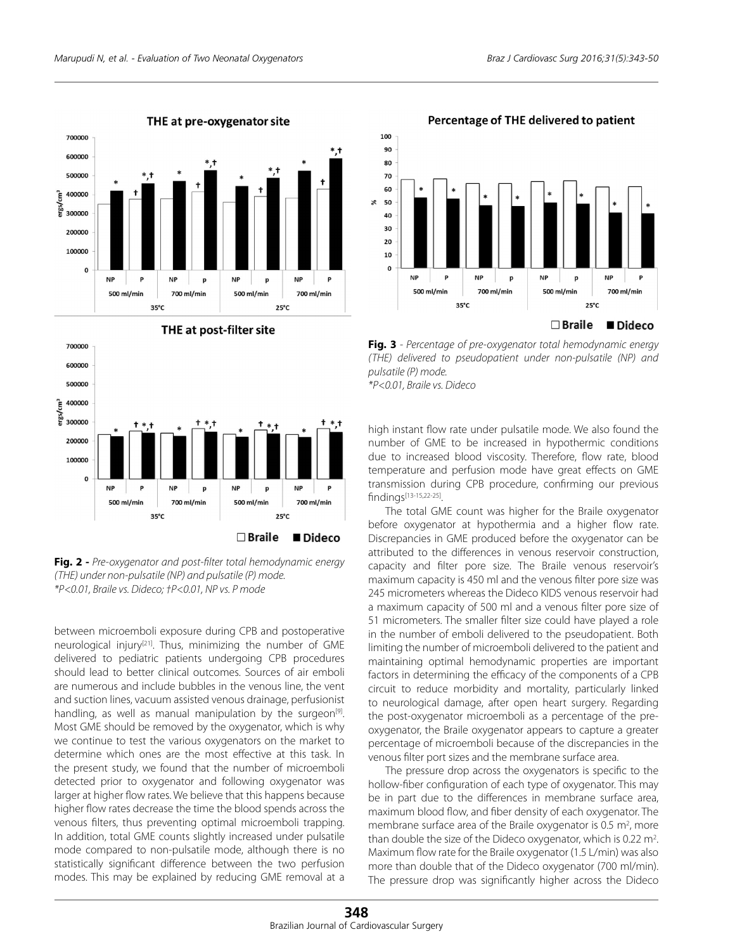

#### 700000 600000 500000 ្តិ 400000 ergs 300000 200000 100000  $\mathbf{0}$ NP **NP** p p 500 ml/min 700 ml/min 500 ml/min 700 ml/min  $35^{\circ}$ C  $25^{\circ}C$  $\square$  Braile Dideco

**Fig. 2 -** *Pre-oxygenator and post-filter total hemodynamic energy (THE) under non-pulsatile (NP) and pulsatile (P) mode. \*P<0.01, Braile vs. Dideco; †P<0.01, NP vs. P mode*

between microemboli exposure during CPB and postoperative neurological injury<sup>[21]</sup>. Thus, minimizing the number of GME delivered to pediatric patients undergoing CPB procedures should lead to better clinical outcomes. Sources of air emboli are numerous and include bubbles in the venous line, the vent and suction lines, vacuum assisted venous drainage, perfusionist handling, as well as manual manipulation by the surgeon<sup>[9]</sup>. Most GME should be removed by the oxygenator, which is why we continue to test the various oxygenators on the market to determine which ones are the most effective at this task. In the present study, we found that the number of microemboli detected prior to oxygenator and following oxygenator was larger at higher flow rates. We believe that this happens because higher flow rates decrease the time the blood spends across the venous filters, thus preventing optimal microemboli trapping. In addition, total GME counts slightly increased under pulsatile mode compared to non-pulsatile mode, although there is no statistically significant difference between the two perfusion modes. This may be explained by reducing GME removal at a

40  $30$  $20$  $10$  $\Omega$ **NP NIE N<sub>P</sub>** 500 ml/min 700 ml/min 500 ml/min 700 ml/min  $35^{\circ}$ C  $25^{\circ}C$ 

## **Fig. 3** *- Percentage of pre-oxygenator total hemodynamic energy (THE) delivered to pseudopatient under non-pulsatile (NP) and pulsatile (P) mode. \*P<0.01, Braile vs. Dideco*

high instant flow rate under pulsatile mode. We also found the number of GME to be increased in hypothermic conditions due to increased blood viscosity. Therefore, flow rate, blood temperature and perfusion mode have great effects on GME transmission during CPB procedure, confirming our previous findings[13-15,22-25].

The total GME count was higher for the Braile oxygenator before oxygenator at hypothermia and a higher flow rate. Discrepancies in GME produced before the oxygenator can be attributed to the differences in venous reservoir construction, capacity and filter pore size. The Braile venous reservoir's maximum capacity is 450 ml and the venous filter pore size was 245 micrometers whereas the Dideco KIDS venous reservoir had a maximum capacity of 500 ml and a venous filter pore size of 51 micrometers. The smaller filter size could have played a role in the number of emboli delivered to the pseudopatient. Both limiting the number of microemboli delivered to the patient and maintaining optimal hemodynamic properties are important factors in determining the efficacy of the components of a CPB circuit to reduce morbidity and mortality, particularly linked to neurological damage, after open heart surgery. Regarding the post-oxygenator microemboli as a percentage of the preoxygenator, the Braile oxygenator appears to capture a greater percentage of microemboli because of the discrepancies in the venous filter port sizes and the membrane surface area.

The pressure drop across the oxygenators is specific to the hollow-fiber configuration of each type of oxygenator. This may be in part due to the differences in membrane surface area, maximum blood flow, and fiber density of each oxygenator. The membrane surface area of the Braile oxygenator is 0.5  $m<sup>2</sup>$ , more than double the size of the Dideco oxygenator, which is 0.22  $m<sup>2</sup>$ . Maximum flow rate for the Braile oxygenator (1.5 L/min) was also more than double that of the Dideco oxygenator (700 ml/min). The pressure drop was significantly higher across the Dideco



Percentage of THE delivered to patient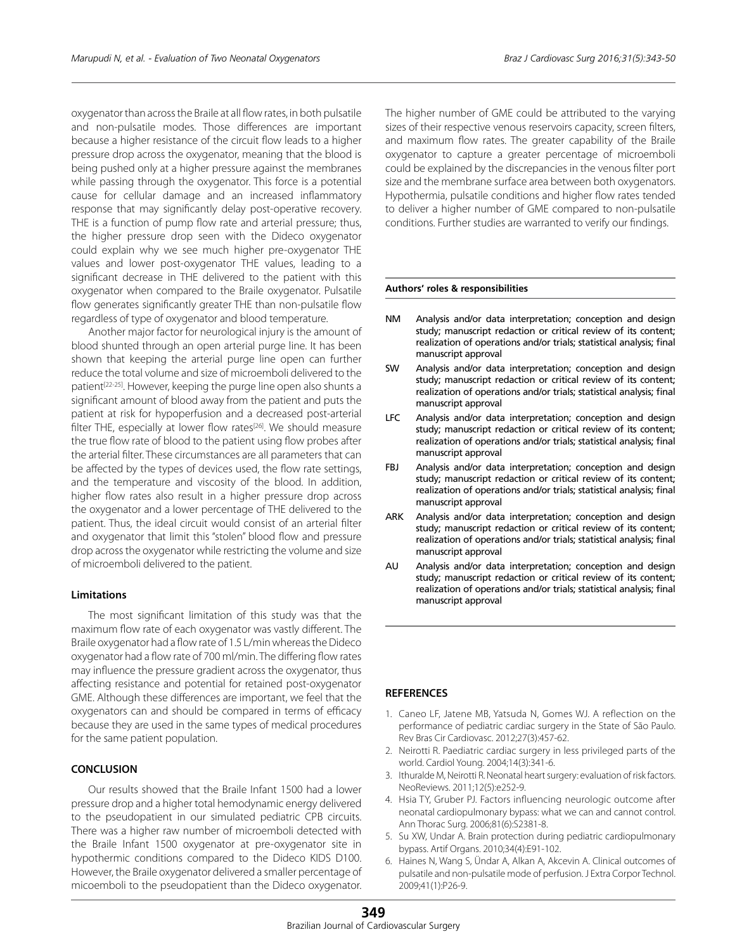oxygenator than across the Braile at all flow rates, in both pulsatile and non-pulsatile modes. Those differences are important because a higher resistance of the circuit flow leads to a higher pressure drop across the oxygenator, meaning that the blood is being pushed only at a higher pressure against the membranes while passing through the oxygenator. This force is a potential cause for cellular damage and an increased inflammatory response that may significantly delay post-operative recovery. THE is a function of pump flow rate and arterial pressure; thus, the higher pressure drop seen with the Dideco oxygenator could explain why we see much higher pre-oxygenator THE values and lower post-oxygenator THE values, leading to a significant decrease in THE delivered to the patient with this oxygenator when compared to the Braile oxygenator. Pulsatile flow generates significantly greater THE than non-pulsatile flow regardless of type of oxygenator and blood temperature.

Another major factor for neurological injury is the amount of blood shunted through an open arterial purge line. It has been shown that keeping the arterial purge line open can further reduce the total volume and size of microemboli delivered to the patient<sup>[22-25]</sup>. However, keeping the purge line open also shunts a significant amount of blood away from the patient and puts the patient at risk for hypoperfusion and a decreased post-arterial filter THE, especially at lower flow rates<sup>[26]</sup>. We should measure the true flow rate of blood to the patient using flow probes after the arterial filter. These circumstances are all parameters that can be affected by the types of devices used, the flow rate settings, and the temperature and viscosity of the blood. In addition, higher flow rates also result in a higher pressure drop across the oxygenator and a lower percentage of THE delivered to the patient. Thus, the ideal circuit would consist of an arterial filter and oxygenator that limit this "stolen" blood flow and pressure drop across the oxygenator while restricting the volume and size of microemboli delivered to the patient.

## **Limitations**

The most significant limitation of this study was that the maximum flow rate of each oxygenator was vastly different. The Braile oxygenator had a flow rate of 1.5 L/min whereas the Dideco oxygenator had a flow rate of 700 ml/min. The differing flow rates may influence the pressure gradient across the oxygenator, thus affecting resistance and potential for retained post-oxygenator GME. Although these differences are important, we feel that the oxygenators can and should be compared in terms of efficacy because they are used in the same types of medical procedures for the same patient population.

## **CONCLUSION**

Our results showed that the Braile Infant 1500 had a lower pressure drop and a higher total hemodynamic energy delivered to the pseudopatient in our simulated pediatric CPB circuits. There was a higher raw number of microemboli detected with the Braile Infant 1500 oxygenator at pre-oxygenator site in hypothermic conditions compared to the Dideco KIDS D100. However, the Braile oxygenator delivered a smaller percentage of micoemboli to the pseudopatient than the Dideco oxygenator. The higher number of GME could be attributed to the varying sizes of their respective venous reservoirs capacity, screen filters, and maximum flow rates. The greater capability of the Braile oxygenator to capture a greater percentage of microemboli could be explained by the discrepancies in the venous filter port size and the membrane surface area between both oxygenators. Hypothermia, pulsatile conditions and higher flow rates tended to deliver a higher number of GME compared to non-pulsatile conditions. Further studies are warranted to verify our findings.

#### **Authors' roles & responsibilities**

- NM Analysis and/or data interpretation; conception and design study; manuscript redaction or critical review of its content; realization of operations and/or trials; statistical analysis; final manuscript approval
- SW Analysis and/or data interpretation; conception and design study; manuscript redaction or critical review of its content; realization of operations and/or trials; statistical analysis; final manuscript approval
- LFC Analysis and/or data interpretation; conception and design study; manuscript redaction or critical review of its content; realization of operations and/or trials; statistical analysis; final manuscript approval
- FBJ Analysis and/or data interpretation; conception and design study; manuscript redaction or critical review of its content; realization of operations and/or trials; statistical analysis; final manuscript approval
- ARK Analysis and/or data interpretation; conception and design study; manuscript redaction or critical review of its content; realization of operations and/or trials; statistical analysis; final manuscript approval
- AU Analysis and/or data interpretation; conception and design study; manuscript redaction or critical review of its content; realization of operations and/or trials; statistical analysis; final manuscript approval

## **REFERENCES**

- 1. Caneo LF, Jatene MB, Yatsuda N, Gomes WJ. A reflection on the performance of pediatric cardiac surgery in the State of São Paulo. Rev Bras Cir Cardiovasc. 2012;27(3):457-62.
- 2. Neirotti R. Paediatric cardiac surgery in less privileged parts of the world. Cardiol Young. 2004;14(3):341-6.
- 3. Ithuralde M, Neirotti R. Neonatal heart surgery: evaluation of risk factors. NeoReviews. 2011;12(5):e252-9.
- 4. Hsia TY, Gruber PJ. Factors influencing neurologic outcome after neonatal cardiopulmonary bypass: what we can and cannot control. Ann Thorac Surg. 2006;81(6):S2381-8.
- 5. Su XW, Undar A. Brain protection during pediatric cardiopulmonary bypass. Artif Organs. 2010;34(4):E91-102.
- Haines N, Wang S, Ündar A, Alkan A, Akcevin A. Clinical outcomes of pulsatile and non-pulsatile mode of perfusion. J Extra Corpor Technol. 2009;41(1):P26-9.